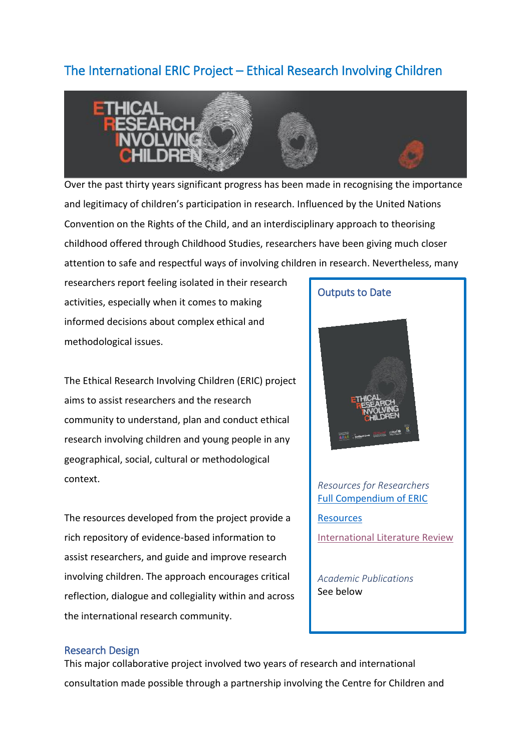# The International ERIC Project – Ethical Research Involving Children



Over the past thirty years significant progress has been made in recognising the importance and legitimacy of children's participation in research. Influenced by the United Nations Convention on the Rights of the Child, and an interdisciplinary approach to theorising childhood offered through Childhood Studies, researchers have been giving much closer attention to safe and respectful ways of involving children in research. Nevertheless, many

researchers report feeling isolated in their research activities, especially when it comes to making informed decisions about complex ethical and methodological issues.

The Ethical Research Involving Children (ERIC) project aims to assist researchers and the research community to understand, plan and conduct ethical research involving children and young people in any geographical, social, cultural or methodological context.

The resources developed from the project provide a rich repository of evidence-based information to assist researchers, and guide and improve research involving children. The approach encourages critical reflection, dialogue and collegiality within and across the international research community.

Outputs to Date

# *Resources for Researchers* [Full Compendium of ERIC](http://www.childethics.com/)

**[Resources](http://www.childethics.com/)** [International Literature Review](https://epubs.scu.edu.au/ccyp_pubs/40/)

*Academic Publications* See below

## Research Design

This major collaborative project involved two years of research and international consultation made possible through a partnership involving the Centre for Children and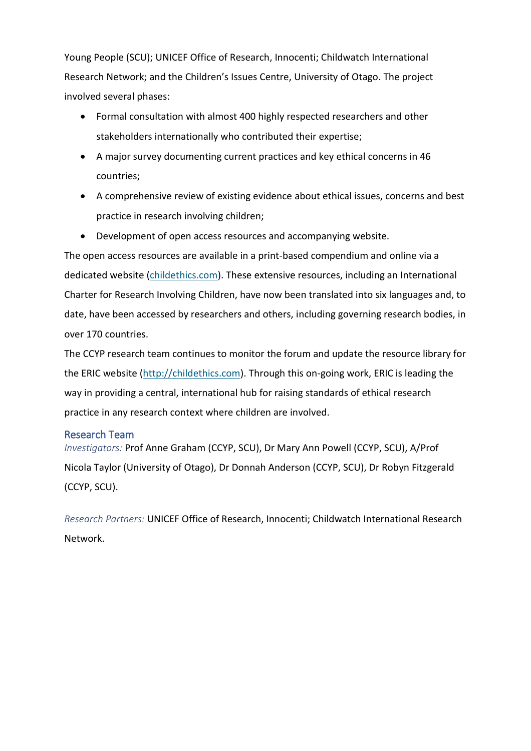Young People (SCU); UNICEF Office of Research, Innocenti; Childwatch International Research Network; and the Children's Issues Centre, University of Otago. The project involved several phases:

- Formal consultation with almost 400 highly respected researchers and other stakeholders internationally who contributed their expertise;
- A major survey documenting current practices and key ethical concerns in 46 countries;
- A comprehensive review of existing evidence about ethical issues, concerns and best practice in research involving children;
- Development of open access resources and accompanying website.

The open access resources are available in a print-based compendium and online via a dedicated website [\(childethics.com\)](http://www.childethics.com/). These extensive resources, including an International Charter for Research Involving Children, have now been translated into six languages and, to date, have been accessed by researchers and others, including governing research bodies, in over 170 countries.

The CCYP research team continues to monitor the forum and update the resource library for the ERIC website [\(http://childethics.com\)](http://childethics.com/). Through this on-going work, ERIC is leading the way in providing a central, international hub for raising standards of ethical research practice in any research context where children are involved.

# Research Team

*Investigators:* Prof Anne Graham (CCYP, SCU), Dr Mary Ann Powell (CCYP, SCU), A/Prof Nicola Taylor (University of Otago), Dr Donnah Anderson (CCYP, SCU), Dr Robyn Fitzgerald (CCYP, SCU).

*Research Partners:* UNICEF Office of Research, Innocenti; Childwatch International Research Network.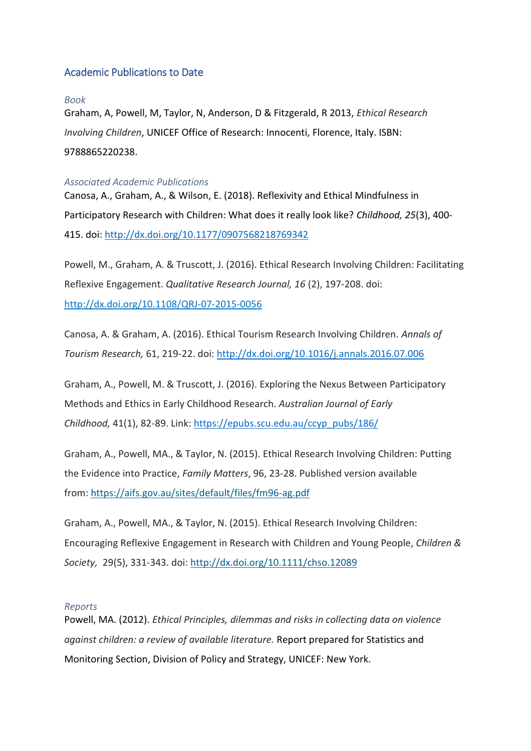# Academic Publications to Date

#### *Book*

Graham, A, Powell, M, Taylor, N, Anderson, D & Fitzgerald, R 2013, *Ethical Research Involving Children*, UNICEF Office of Research: Innocenti, Florence, Italy. ISBN: 9788865220238.

### *Associated Academic Publications*

Canosa, A., Graham, A., & Wilson, E. (2018). Reflexivity and Ethical Mindfulness in Participatory Research with Children: What does it really look like? *Childhood, 25*(3), 400- 415. doi:<http://dx.doi.org/10.1177/0907568218769342>

Powell, M., Graham, A. & Truscott, J. (2016). Ethical Research Involving Children: Facilitating Reflexive Engagement. *Qualitative Research Journal, 16* (2), 197-208. doi: <http://dx.doi.org/10.1108/QRJ-07-2015-0056>

Canosa, A. & Graham, A. (2016). Ethical Tourism Research Involving Children. *Annals of Tourism Research,* 61, 219-22. doi[: http://dx.doi.org/10.1016/j.annals.2016.07.006](http://dx.doi.org/10.1016/j.annals.2016.07.006)

Graham, A., Powell, M. & Truscott, J. (2016). Exploring the Nexus Between Participatory Methods and Ethics in Early Childhood Research. *Australian Journal of Early Childhood,* 41(1), 82-89. Link: [https://epubs.scu.edu.au/ccyp\\_pubs/186/](https://epubs.scu.edu.au/ccyp_pubs/186/)

Graham, A., Powell, MA., & Taylor, N. (2015). Ethical Research Involving Children: Putting the Evidence into Practice, *Family Matters*, 96, 23-28. Published version available from: <https://aifs.gov.au/sites/default/files/fm96-ag.pdf>

Graham, A., Powell, MA., & Taylor, N. (2015). Ethical Research Involving Children: Encouraging Reflexive Engagement in Research with Children and Young People, *Children & Society,* 29(5), 331-343. doi: <http://dx.doi.org/10.1111/chso.12089>

#### *Reports*

Powell, MA. (2012). *Ethical Principles, dilemmas and risks in collecting data on violence against children: a review of available literature.* Report prepared for Statistics and Monitoring Section, Division of Policy and Strategy, UNICEF: New York.